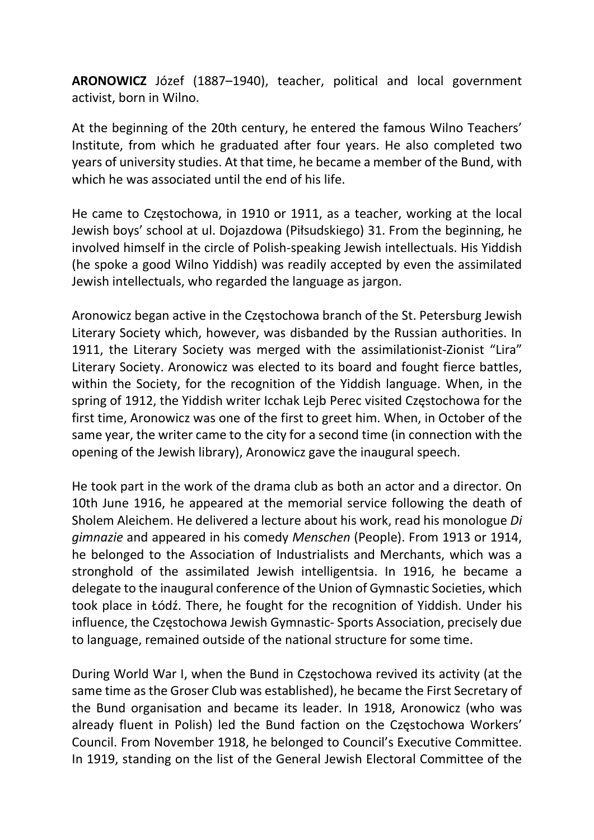ARONOWICZ Józef (1887–1940), teacher, political and local government activist, born in Wilno.

At the beginning of the 20th century, he entered the famous Wilno Teachers' Institute, from which he graduated after four years. He also completed two years of university studies. At that time, he became a member of the Bund, with which he was associated until the end of his life.

He came to Częstochowa, in 1910 or 1911, as a teacher, working at the local Jewish boys' school at ul. Dojazdowa (Piłsudskiego) 31. From the beginning, he involved himself in the circle of Polish-speaking Jewish intellectuals. His Yiddish (he spoke a good Wilno Yiddish) was readily accepted by even the assimilated Jewish intellectuals, who regarded the language as jargon.

Aronowicz began active in the Częstochowa branch of the St. Petersburg Jewish Literary Society which, however, was disbanded by the Russian authorities. In 1911, the Literary Society was merged with the assimilationist-Zionist "Lira" Literary Society. Aronowicz was elected to its board and fought fierce battles, within the Society, for the recognition of the Yiddish language. When, in the spring of 1912, the Yiddish writer Icchak Lejb Perec visited Częstochowa for the first time, Aronowicz was one of the first to greet him. When, in October of the same year, the writer came to the city for a second time (in connection with the opening of the Jewish library), Aronowicz gave the inaugural speech.

He took part in the work of the drama club as both an actor and a director. On 10th June 1916, he appeared at the memorial service following the death of Sholem Aleichem. He delivered a lecture about his work, read his monologue Di gimnazie and appeared in his comedy Menschen (People). From 1913 or 1914, he belonged to the Association of Industrialists and Merchants, which was a stronghold of the assimilated Jewish intelligentsia. In 1916, he became a delegate to the inaugural conference of the Union of Gymnastic Societies, which took place in Łódź. There, he fought for the recognition of Yiddish. Under his influence, the Częstochowa Jewish Gymnastic- Sports Association, precisely due to language, remained outside of the national structure for some time.

During World War I, when the Bund in Częstochowa revived its activity (at the same time as the Groser Club was established), he became the First Secretary of the Bund organisation and became its leader. In 1918, Aronowicz (who was already fluent in Polish) led the Bund faction on the Częstochowa Workers' Council. From November 1918, he belonged to Council's Executive Committee. In 1919, standing on the list of the General Jewish Electoral Committee of the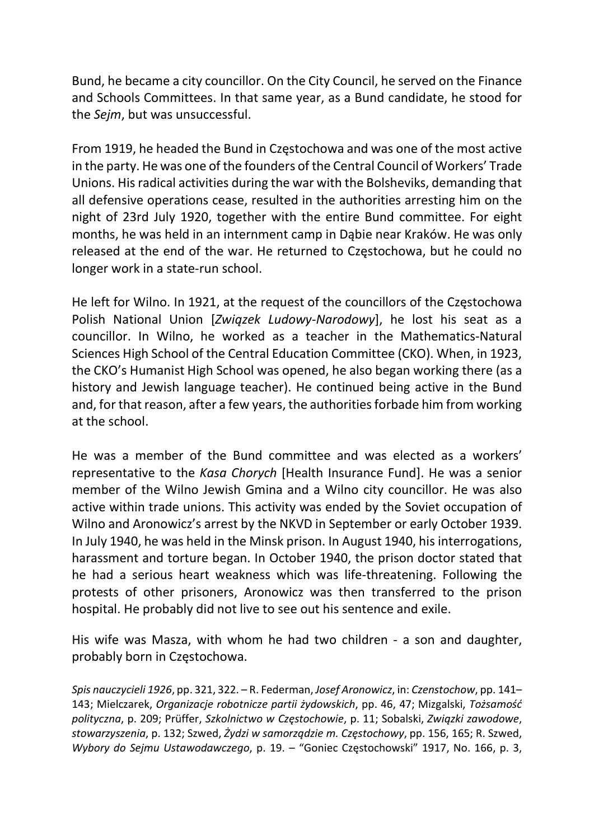Bund, he became a city councillor. On the City Council, he served on the Finance and Schools Committees. In that same year, as a Bund candidate, he stood for the Sejm, but was unsuccessful.

From 1919, he headed the Bund in Częstochowa and was one of the most active in the party. He was one of the founders of the Central Council of Workers' Trade Unions. His radical activities during the war with the Bolsheviks, demanding that all defensive operations cease, resulted in the authorities arresting him on the night of 23rd July 1920, together with the entire Bund committee. For eight months, he was held in an internment camp in Dąbie near Kraków. He was only released at the end of the war. He returned to Częstochowa, but he could no longer work in a state-run school.

He left for Wilno. In 1921, at the request of the councillors of the Częstochowa Polish National Union [Związek Ludowy-Narodowy], he lost his seat as a councillor. In Wilno, he worked as a teacher in the Mathematics-Natural Sciences High School of the Central Education Committee (CKO). When, in 1923, the CKO's Humanist High School was opened, he also began working there (as a history and Jewish language teacher). He continued being active in the Bund and, for that reason, after a few years, the authorities forbade him from working at the school.

He was a member of the Bund committee and was elected as a workers' representative to the Kasa Chorych [Health Insurance Fund]. He was a senior member of the Wilno Jewish Gmina and a Wilno city councillor. He was also active within trade unions. This activity was ended by the Soviet occupation of Wilno and Aronowicz's arrest by the NKVD in September or early October 1939. In July 1940, he was held in the Minsk prison. In August 1940, his interrogations, harassment and torture began. In October 1940, the prison doctor stated that he had a serious heart weakness which was life-threatening. Following the protests of other prisoners, Aronowicz was then transferred to the prison hospital. He probably did not live to see out his sentence and exile.

His wife was Masza, with whom he had two children - a son and daughter, probably born in Częstochowa.

Spis nauczycieli 1926, pp. 321, 322. – R. Federman, Josef Aronowicz, in: Czenstochow, pp. 141– 143; Mielczarek, Organizacje robotnicze partii żydowskich, pp. 46, 47; Mizgalski, Tożsamość polityczna, p. 209; Prüffer, Szkolnictwo w Częstochowie, p. 11; Sobalski, Związki zawodowe, stowarzyszenia, p. 132; Szwed, Żydzi w samorządzie m. Częstochowy, pp. 156, 165; R. Szwed, Wybory do Sejmu Ustawodawczego, p. 19. – "Goniec Częstochowski" 1917, No. 166, p. 3,